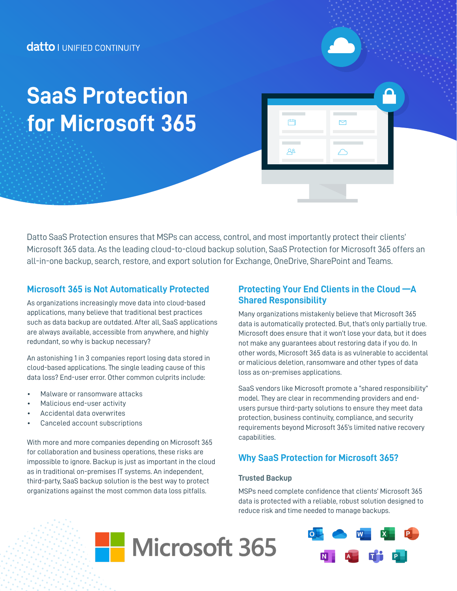# **for Microsoft 365 SaaS Protection**

Datto SaaS Protection ensures that MSPs can access, control, and most importantly protect their clients' Microsoft 365 data. As the leading cloud-to-cloud backup solution, SaaS Protection for Microsoft 365 offers an all-in-one backup, search, restore, and export solution for Exchange, OneDrive, SharePoint and Teams.

## **Microsoft 365 is Not Automatically Protected**

As organizations increasingly move data into cloud-based applications, many believe that traditional best practices such as data backup are outdated. After all, SaaS applications are always available, accessible from anywhere, and highly redundant, so why is backup necessary?

An astonishing 1 in 3 companies report losing data stored in cloud-based applications. The single leading cause of this data loss? End-user error. Other common culprits include:

- Malware or ransomware attacks
- Malicious end-user activity
- Accidental data overwrites
- Canceled account subscriptions

With more and more companies depending on Microsoft 365 for collaboration and business operations, these risks are impossible to ignore. Backup is just as important in the cloud as in traditional on-premises IT systems. An independent, third-party, SaaS backup solution is the best way to protect organizations against the most common data loss pitfalls.

## **Protecting Your End Clients in the Cloud —A Shared Responsibility**

曲

 $A^2$ 

Many organizations mistakenly believe that Microsoft 365 data is automatically protected. But, that's only partially true. Microsoft does ensure that it won't lose your data, but it does not make any guarantees about restoring data if you do. In other words, Microsoft 365 data is as vulnerable to accidental or malicious deletion, ransomware and other types of data loss as on-premises applications.

SaaS vendors like Microsoft promote a "shared responsibility" model. They are clear in recommending providers and endusers pursue third-party solutions to ensure they meet data protection, business continuity, compliance, and security requirements beyond Microsoft 365's limited native recovery capabilities.

# **Why SaaS Protection for Microsoft 365?**

#### **Trusted Backup**

MSPs need complete confidence that clients' Microsoft 365 data is protected with a reliable, robust solution designed to reduce risk and time needed to manage backups.